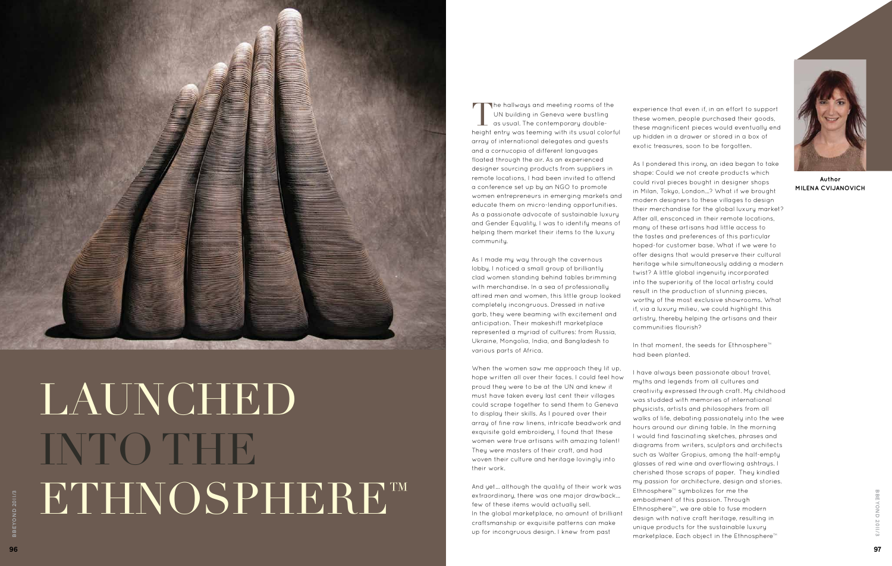

## LAUNCHED **INTO THE** ETHNOSPHERE™



**Author Milena Cvijanovich**

The hallways and meeting rooms of the UN building in Geneva were bustling  $\blacksquare$  as usual. The contemporary doubleheight entry was teeming with its usual colorful array of international delegates and guests and a cornucopia of different languages floated through the air. As an experienced designer sourcing products from suppliers in remote locations, I had been invited to attend a conference set up by an NGO to promote women entrepreneurs in emerging markets and educate them on micro-lending opportunities. As a passionate advocate of sustainable luxury and Gender Equality, I was to identify means of helping them market their items to the luxury community.

As I made my way through the cavernous lobby, I noticed a small group of brilliantly clad women standing behind tables brimming with merchandise. In a sea of professionally attired men and women, this little group looked completely incongruous. Dressed in native garb, they were beaming with excitement and anticipation. Their makeshift marketplace represented a myriad of cultures: from Russia, Ukraine, Mongolia, India, and Bangladesh to various parts of Africa.

When the women saw me approach they lit up, hope written all over their faces. I could feel how proud they were to be at the UN and knew it must have taken every last cent their villages could scrape together to send them to Geneva to display their skills. As I poured over their array of fine raw linens, intricate beadwork and exquisite gold embroidery, I found that these women were true artisans with amazing talent! They were masters of their craft, and had woven their culture and heritage lovingly into their work.

And yet… although the quality of their work was extraordinary, there was one major drawback… few of these items would actually sell. In the global marketplace, no amount of brilliant craftsmanship or exquisite patterns can make up for incongruous design. I knew from past

experience that even if, in an effort to support these women, people purchased their goods, these magnificent pieces would eventually end up hidden in a drawer or stored in a box of exotic treasures, soon to be forgotten.

As I pondered this irony, an idea began to take shape: Could we not create products which could rival pieces bought in designer shops in Milan, Tokyo, London…? What if we brought modern designers to these villages to design their merchandise for the global luxury market? After all, ensconced in their remote locations, many of these artisans had little access to the tastes and preferences of this particular hoped-for customer base. What if we were to offer designs that would preserve their cultural heritage while simultaneously adding a modern twist? A little global ingenuity incorporated into the superiority of the local artistry could result in the production of stunning pieces, worthy of the most exclusive showrooms. What if, via a luxury milieu, we could highlight this artistry, thereby helping the artisans and their communities flourish?

In that moment, the seeds for Ethnosphere™ had been planted.

I have always been passionate about travel, myths and legends from all cultures and creativity expressed through craft. My childhood was studded with memories of international physicists, artists and philosophers from all walks of life, debating passionately into the wee hours around our dining table. In the morning I would find fascinating sketches, phrases and diagrams from writers, sculptors and architects such as Walter Gropius, among the half-empty glasses of red wine and overflowing ashtrays. I cherished those scraps of paper. They kindled my passion for architecture, design and stories. Ethnosphere™ symbolizes for me the embodiment of this passion. Through Ethnosphere™, we are able to fuse modern design with native craft heritage, resulting in unique products for the sustainable luxury marketplace. Each object in the Ethnosphere™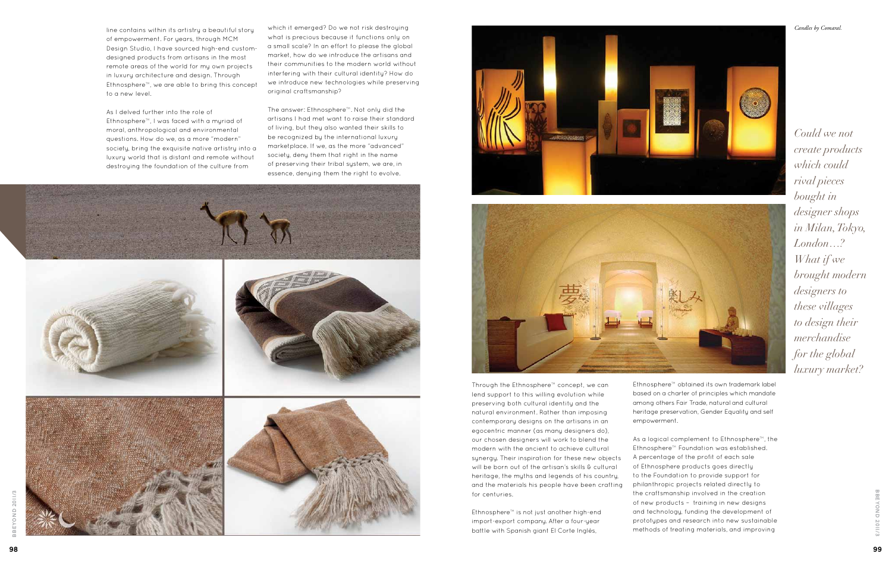Through the Ethnosphere™ concept, we can lend support to this willing evolution while preserving both cultural identity and the natural environment. Rather than imposing contemporary designs on the artisans in an egocentric manner (as many designers do), our chosen designers will work to blend the modern with the ancient to achieve cultural synergy. Their inspiration for these new objects will be born out of the artisan's skills & cultural heritage, the myths and legends of his country, and the materials his people have been crafting for centuries.

Ethnosphere™ is not just another high-end import-export company. After a four-year battle with Spanish giant El Corte Inglès,

98





Ethnosphere™ obtained its own trademark label based on a charter of principles which mandate among others Fair Trade, natural and cultural heritage preservation, Gender Equality and self empowerment.

As a logical complement to Ethnosphere™, the Ethnosphere™ Foundation was established. A percentage of the profit of each sale of Ethnosphere products goes directly to the Foundation to provide support for philanthropic projects related directly to the craftsmanship involved in the creation of new products – training in new designs and technology, funding the development of prototypes and research into new sustainable methods of treating materials, and improving

*Could we not create products which could rival pieces bought in designer shops in Milan, Tokyo, London…? What if we brought modern designers to these villages to design their merchandise for the global luxury market?*

line contains within its artistry a beautiful story of empowerment. For years, through MCM Design Studio, I have sourced high-end customdesigned products from artisans in the most remote areas of the world for my own projects in luxury architecture and design. Through Ethnosphere™, we are able to bring this concept to a new level.

As I delved further into the role of Ethnosphere™, I was faced with a myriad of moral, anthropological and environmental questions. How do we, as a more "modern" society, bring the exquisite native artistry into a luxury world that is distant and remote without destroying the foundation of the culture from

which it emerged? Do we not risk destroying what is precious because it functions only on a small scale? In an effort to please the global market, how do we introduce the artisans and their communities to the modern world without interfering with their cultural identity? How do we introduce new technologies while preserving original craftsmanship?

The answer: Ethnosphere™. Not only did the artisans I had met want to raise their standard of living, but they also wanted their skills to be recognized by the international luxury marketplace. If we, as the more "advanced" society, deny them that right in the name of preserving their tribal system, we are, in essence, denying them the right to evolve.